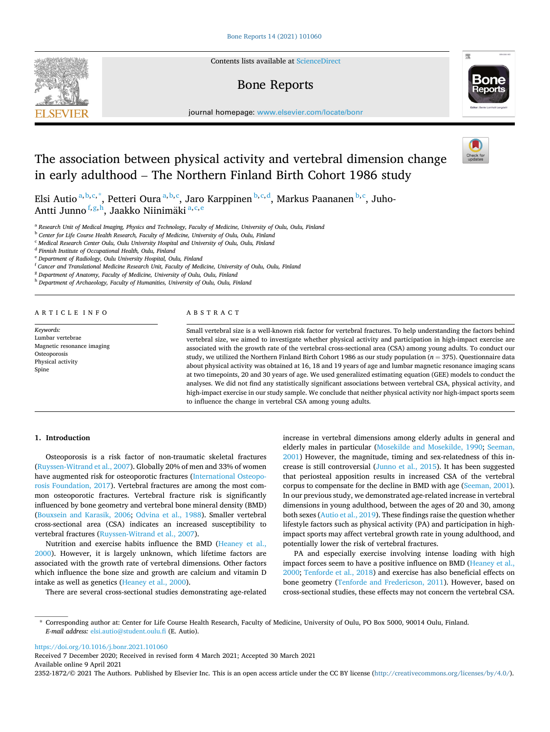Contents lists available at [ScienceDirect](www.sciencedirect.com/science/journal/23521872)

# Bone Reports



journal homepage: [www.elsevier.com/locate/bonr](https://www.elsevier.com/locate/bonr)

# The association between physical activity and vertebral dimension change in early adulthood – The Northern Finland Birth Cohort 1986 study

Elsi Autio <sup>a, b, c, \*</sup>, Petteri Oura <sup>a, b, c</sup>, Jaro Karppinen <sup>b, c, d</sup>, Markus Paananen <sup>b, c</sup>, Juho-Antti Junno<sup>f,g,h</sup>, Jaakko Niinimäki<sup>a,c,e</sup>

<sup>a</sup> *Research Unit of Medical Imaging, Physics and Technology, Faculty of Medicine, University of Oulu, Oulu, Finland* 

<sup>b</sup> *Center for Life Course Health Research, Faculty of Medicine, University of Oulu, Oulu, Finland* 

<sup>c</sup> *Medical Research Center Oulu, Oulu University Hospital and University of Oulu, Oulu, Finland* 

<sup>d</sup> *Finnish Institute of Occupational Health, Oulu, Finland* 

<sup>e</sup> *Department of Radiology, Oulu University Hospital, Oulu, Finland* 

<sup>f</sup> *Cancer and Translational Medicine Research Unit, Faculty of Medicine, University of Oulu, Oulu, Finland* 

<sup>g</sup> *Department of Anatomy, Faculty of Medicine, University of Oulu, Oulu, Finland* 

<sup>h</sup> *Department of Archaeology, Faculty of Humanities, University of Oulu, Oulu, Finland* 

ARTICLE INFO

*Keywords:*  Lumbar vertebrae Magnetic resonance imaging Osteoporosis Physical activity Spine

# ABSTRACT

Small vertebral size is a well-known risk factor for vertebral fractures. To help understanding the factors behind vertebral size, we aimed to investigate whether physical activity and participation in high-impact exercise are associated with the growth rate of the vertebral cross-sectional area (CSA) among young adults. To conduct our study, we utilized the Northern Finland Birth Cohort 1986 as our study population (*n* = 375). Questionnaire data about physical activity was obtained at 16, 18 and 19 years of age and lumbar magnetic resonance imaging scans at two timepoints, 20 and 30 years of age. We used generalized estimating equation (GEE) models to conduct the analyses. We did not find any statistically significant associations between vertebral CSA, physical activity, and high-impact exercise in our study sample. We conclude that neither physical activity nor high-impact sports seem to influence the change in vertebral CSA among young adults.

#### **1. Introduction**

Osteoporosis is a risk factor of non-traumatic skeletal fractures ([Ruyssen-Witrand et al., 2007\)](#page-5-0). Globally 20% of men and 33% of women have augmented risk for osteoporotic fractures [\(International Osteopo](#page-5-0)[rosis Foundation, 2017\)](#page-5-0). Vertebral fractures are among the most common osteoporotic fractures. Vertebral fracture risk is significantly influenced by bone geometry and vertebral bone mineral density (BMD) ([Bouxsein and Karasik, 2006;](#page-5-0) [Odvina et al., 1988](#page-5-0)). Smaller vertebral cross-sectional area (CSA) indicates an increased susceptibility to vertebral fractures [\(Ruyssen-Witrand et al., 2007\)](#page-5-0).

Nutrition and exercise habits influence the BMD ([Heaney et al.,](#page-5-0)  [2000\)](#page-5-0). However, it is largely unknown, which lifetime factors are associated with the growth rate of vertebral dimensions. Other factors which influence the bone size and growth are calcium and vitamin D intake as well as genetics [\(Heaney et al., 2000](#page-5-0)).

There are several cross-sectional studies demonstrating age-related

increase in vertebral dimensions among elderly adults in general and elderly males in particular [\(Mosekilde and Mosekilde, 1990;](#page-5-0) [Seeman,](#page-5-0)  [2001\)](#page-5-0) However, the magnitude, timing and sex-relatedness of this increase is still controversial [\(Junno et al., 2015](#page-5-0)). It has been suggested that periosteal apposition results in increased CSA of the vertebral corpus to compensate for the decline in BMD with age ([Seeman, 2001](#page-5-0)). In our previous study, we demonstrated age-related increase in vertebral dimensions in young adulthood, between the ages of 20 and 30, among both sexes [\(Autio et al., 2019\)](#page-5-0). These findings raise the question whether lifestyle factors such as physical activity (PA) and participation in highimpact sports may affect vertebral growth rate in young adulthood, and potentially lower the risk of vertebral fractures.

PA and especially exercise involving intense loading with high impact forces seem to have a positive influence on BMD [\(Heaney et al.,](#page-5-0)  [2000; Tenforde et al., 2018](#page-5-0)) and exercise has also beneficial effects on bone geometry ([Tenforde and Fredericson, 2011\)](#page-5-0). However, based on cross-sectional studies, these effects may not concern the vertebral CSA.

<https://doi.org/10.1016/j.bonr.2021.101060>

Available online 9 April 2021 Received 7 December 2020; Received in revised form 4 March 2021; Accepted 30 March 2021

2352-1872/© 2021 The Authors. Published by Elsevier Inc. This is an open access article under the CC BY license(<http://creativecommons.org/licenses/by/4.0/>).



<sup>\*</sup> Corresponding author at: Center for Life Course Health Research, Faculty of Medicine, University of Oulu, PO Box 5000, 90014 Oulu, Finland. *E-mail address:* [elsi.autio@student.oulu.fi](mailto:elsi.autio@student.oulu.fi) (E. Autio).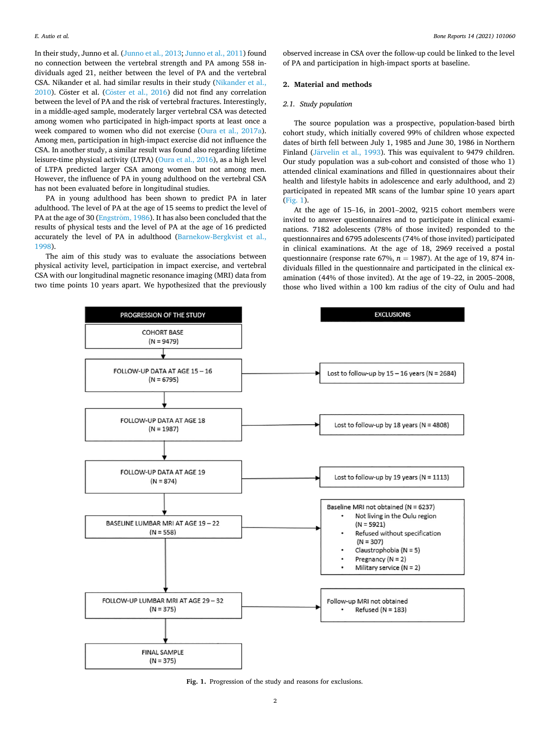<span id="page-1-0"></span>In their study, Junno et al. ([Junno et al., 2013; Junno et al., 2011](#page-5-0)) found no connection between the vertebral strength and PA among 558 individuals aged 21, neither between the level of PA and the vertebral CSA. Nikander et al. had similar results in their study ([Nikander et al.,](#page-5-0)   $2010$ ). Cöster et al. (Cöster et al.,  $2016$ ) did not find any correlation between the level of PA and the risk of vertebral fractures. Interestingly, in a middle-aged sample, moderately larger vertebral CSA was detected among women who participated in high-impact sports at least once a week compared to women who did not exercise [\(Oura et al., 2017a](#page-5-0)). Among men, participation in high-impact exercise did not influence the CSA. In another study, a similar result was found also regarding lifetime leisure-time physical activity (LTPA) [\(Oura et al., 2016\)](#page-5-0), as a high level of LTPA predicted larger CSA among women but not among men. However, the influence of PA in young adulthood on the vertebral CSA has not been evaluated before in longitudinal studies.

PA in young adulthood has been shown to predict PA in later adulthood. The level of PA at the age of 15 seems to predict the level of PA at the age of 30 (Engström, 1986). It has also been concluded that the results of physical tests and the level of PA at the age of 16 predicted accurately the level of PA in adulthood ([Barnekow-Bergkvist et al.,](#page-5-0)  [1998\)](#page-5-0).

The aim of this study was to evaluate the associations between physical activity level, participation in impact exercise, and vertebral CSA with our longitudinal magnetic resonance imaging (MRI) data from two time points 10 years apart. We hypothesized that the previously

observed increase in CSA over the follow-up could be linked to the level of PA and participation in high-impact sports at baseline.

#### **2. Material and methods**

#### *2.1. Study population*

The source population was a prospective, population-based birth cohort study, which initially covered 99% of children whose expected dates of birth fell between July 1, 1985 and June 30, 1986 in Northern Finland (Järvelin et al., 1993). This was equivalent to 9479 children. Our study population was a sub-cohort and consisted of those who 1) attended clinical examinations and filled in questionnaires about their health and lifestyle habits in adolescence and early adulthood, and 2) participated in repeated MR scans of the lumbar spine 10 years apart (Fig. 1).

At the age of 15–16, in 2001–2002, 9215 cohort members were invited to answer questionnaires and to participate in clinical examinations. 7182 adolescents (78% of those invited) responded to the questionnaires and 6795 adolescents (74% of those invited) participated in clinical examinations. At the age of 18, 2969 received a postal questionnaire (response rate 67%,  $n = 1987$ ). At the age of 19, 874 individuals filled in the questionnaire and participated in the clinical examination (44% of those invited). At the age of 19–22, in 2005–2008, those who lived within a 100 km radius of the city of Oulu and had



**Fig. 1.** Progression of the study and reasons for exclusions.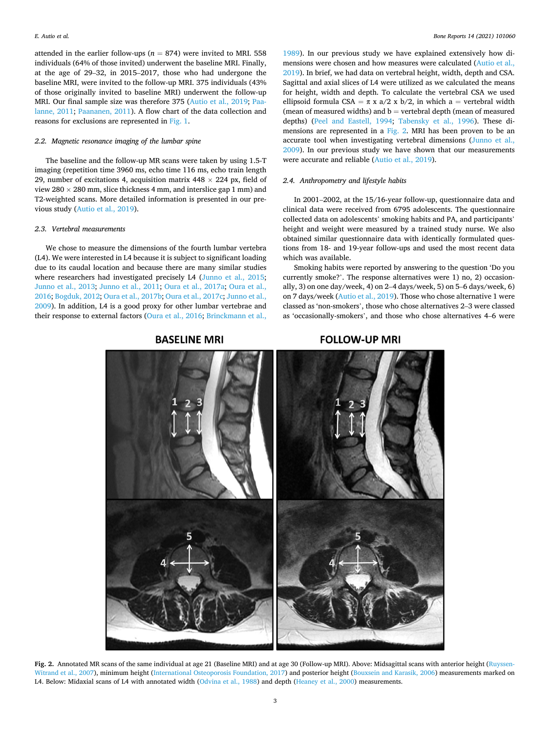<span id="page-2-0"></span>attended in the earlier follow-ups ( $n = 874$ ) were invited to MRI. 558 individuals (64% of those invited) underwent the baseline MRI. Finally, at the age of 29–32, in 2015–2017, those who had undergone the baseline MRI, were invited to the follow-up MRI. 375 individuals (43% of those originally invited to baseline MRI) underwent the follow-up MRI. Our final sample size was therefore 375 ([Autio et al., 2019](#page-5-0); [Paa](#page-5-0)[lanne, 2011;](#page-5-0) [Paananen, 2011\)](#page-5-0). A flow chart of the data collection and reasons for exclusions are represented in [Fig. 1.](#page-1-0)

## *2.2. Magnetic resonance imaging of the lumbar spine*

The baseline and the follow-up MR scans were taken by using 1.5-T imaging (repetition time 3960 ms, echo time 116 ms, echo train length 29, number of excitations 4, acquisition matrix  $448 \times 224$  px, field of view  $280 \times 280$  mm, slice thickness 4 mm, and interslice gap 1 mm) and T2-weighted scans. More detailed information is presented in our previous study [\(Autio et al., 2019](#page-5-0)).

#### *2.3. Vertebral measurements*

We chose to measure the dimensions of the fourth lumbar vertebra (L4). We were interested in L4 because it is subject to significant loading due to its caudal location and because there are many similar studies where researchers had investigated precisely L4 ([Junno et al., 2015](#page-5-0); [Junno et al., 2013;](#page-5-0) [Junno et al., 2011](#page-5-0); [Oura et al., 2017a](#page-5-0); [Oura et al.,](#page-5-0)  [2016; Bogduk, 2012](#page-5-0); [Oura et al., 2017b](#page-5-0); [Oura et al., 2017c; Junno et al.,](#page-5-0)  [2009\)](#page-5-0). In addition, L4 is a good proxy for other lumbar vertebrae and their response to external factors [\(Oura et al., 2016](#page-5-0); [Brinckmann et al.,](#page-5-0) 

[1989\)](#page-5-0). In our previous study we have explained extensively how dimensions were chosen and how measures were calculated [\(Autio et al.,](#page-5-0)  [2019\)](#page-5-0). In brief, we had data on vertebral height, width, depth and CSA. Sagittal and axial slices of L4 were utilized as we calculated the means for height, width and depth. To calculate the vertebral CSA we used ellipsoid formula CSA =  $\pi$  x a/2 x b/2, in which a = vertebral width (mean of measured widths) and  $b =$  vertebral depth (mean of measured depths) [\(Peel and Eastell, 1994;](#page-5-0) [Tabensky et al., 1996\)](#page-5-0). These dimensions are represented in a Fig. 2. MRI has been proven to be an accurate tool when investigating vertebral dimensions [\(Junno et al.,](#page-5-0)  [2009\)](#page-5-0). In our previous study we have shown that our measurements were accurate and reliable ([Autio et al., 2019\)](#page-5-0).

#### *2.4. Anthropometry and lifestyle habits*

In 2001–2002, at the 15/16-year follow-up, questionnaire data and clinical data were received from 6795 adolescents. The questionnaire collected data on adolescents' smoking habits and PA, and participants' height and weight were measured by a trained study nurse. We also obtained similar questionnaire data with identically formulated questions from 18- and 19-year follow-ups and used the most recent data which was available.

Smoking habits were reported by answering to the question 'Do you currently smoke?'. The response alternatives were 1) no, 2) occasionally, 3) on one day/week, 4) on 2–4 days/week, 5) on 5–6 days/week, 6) on 7 days/week [\(Autio et al., 2019\)](#page-5-0). Those who chose alternative 1 were classed as 'non-smokers', those who chose alternatives 2–3 were classed as 'occasionally-smokers', and those who chose alternatives 4–6 were

# **FOLLOW-UP MRI**



**Fig. 2.** Annotated MR scans of the same individual at age 21 (Baseline MRI) and at age 30 (Follow-up MRI). Above: Midsagittal scans with anterior height ([Ruyssen-](#page-5-0)[Witrand et al., 2007\)](#page-5-0), minimum height [\(International Osteoporosis Foundation, 2017\)](#page-5-0) and posterior height ([Bouxsein and Karasik, 2006](#page-5-0)) measurements marked on L4. Below: Midaxial scans of L4 with annotated width [\(Odvina et al., 1988](#page-5-0)) and depth ([Heaney et al., 2000\)](#page-5-0) measurements.

**BASELINE MRI**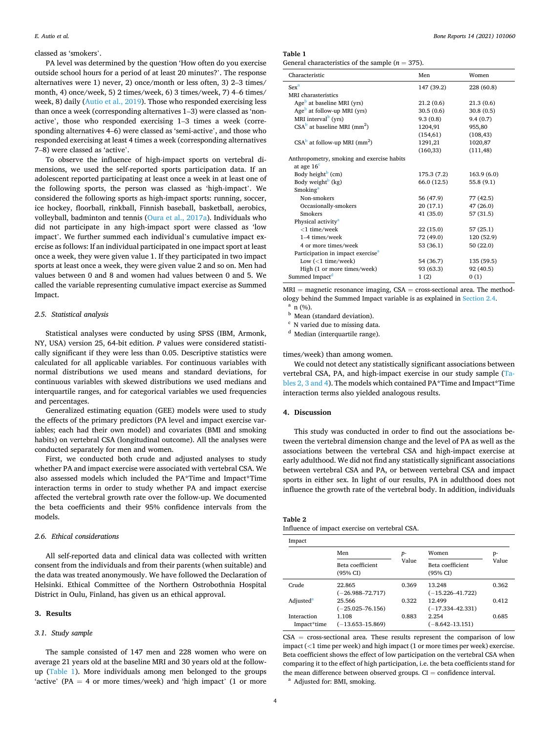#### <span id="page-3-0"></span>classed as 'smokers'.

PA level was determined by the question 'How often do you exercise outside school hours for a period of at least 20 minutes?'. The response alternatives were 1) never, 2) once/month or less often, 3) 2–3 times/ month, 4) once/week, 5) 2 times/week, 6) 3 times/week, 7) 4–6 times/ week, 8) daily [\(Autio et al., 2019](#page-5-0)). Those who responded exercising less than once a week (corresponding alternatives 1–3) were classed as 'nonactive', those who responded exercising 1–3 times a week (corresponding alternatives 4–6) were classed as 'semi-active', and those who responded exercising at least 4 times a week (corresponding alternatives 7–8) were classed as 'active'.

To observe the influence of high-impact sports on vertebral dimensions, we used the self-reported sports participation data. If an adolescent reported participating at least once a week in at least one of the following sports, the person was classed as 'high-impact'. We considered the following sports as high-impact sports: running, soccer, ice hockey, floorball, rinkball, Finnish baseball, basketball, aerobics, volleyball, badminton and tennis ([Oura et al., 2017a](#page-5-0)). Individuals who did not participate in any high-impact sport were classed as 'low impact'. We further summed each individual's cumulative impact exercise as follows: If an individual participated in one impact sport at least once a week, they were given value 1. If they participated in two impact sports at least once a week, they were given value 2 and so on. Men had values between 0 and 8 and women had values between 0 and 5. We called the variable representing cumulative impact exercise as Summed Impact.

#### *2.5. Statistical analysis*

Statistical analyses were conducted by using SPSS (IBM, Armonk, NY, USA) version 25, 64-bit edition. *P* values were considered statistically significant if they were less than 0.05. Descriptive statistics were calculated for all applicable variables. For continuous variables with normal distributions we used means and standard deviations, for continuous variables with skewed distributions we used medians and interquartile ranges, and for categorical variables we used frequencies and percentages.

Generalized estimating equation (GEE) models were used to study the effects of the primary predictors (PA level and impact exercise variables; each had their own model) and covariates (BMI and smoking habits) on vertebral CSA (longitudinal outcome). All the analyses were conducted separately for men and women.

First, we conducted both crude and adjusted analyses to study whether PA and impact exercise were associated with vertebral CSA. We also assessed models which included the PA\*Time and Impact\*Time interaction terms in order to study whether PA and impact exercise affected the vertebral growth rate over the follow-up. We documented the beta coefficients and their 95% confidence intervals from the models.

## *2.6. Ethical considerations*

All self-reported data and clinical data was collected with written consent from the individuals and from their parents (when suitable) and the data was treated anonymously. We have followed the Declaration of Helsinki. Ethical Committee of the Northern Ostrobothnia Hospital District in Oulu, Finland, has given us an ethical approval.

#### **3. Results**

## *3.1. Study sample*

The sample consisted of 147 men and 228 women who were on average 21 years old at the baseline MRI and 30 years old at the followup (Table 1). More individuals among men belonged to the groups 'active' (PA  $=$  4 or more times/week) and 'high impact' (1 or more

# **Table 1**

|  | General characteristics of the sample ( $n = 375$ ). |  |  |  |  |
|--|------------------------------------------------------|--|--|--|--|
|--|------------------------------------------------------|--|--|--|--|

| Characteristic                                | Men         | Women      |
|-----------------------------------------------|-------------|------------|
| <b>Sex<sup>a</sup></b>                        | 147 (39.2)  | 228 (60.8) |
| MRI charasteristics                           |             |            |
| Age <sup>b</sup> at baseline MRI (yrs)        | 21.2(0.6)   | 21.3(0.6)  |
| Age <sup>b</sup> at follow-up MRI (yrs)       | 30.5(0.6)   | 30.8(0.5)  |
| MRI interval <sup>b</sup> (yrs)               | 9.3(0.8)    | 9.4(0.7)   |
| $CSAb$ at baseline MRI (mm <sup>2</sup> )     | 1204,91     | 955,80     |
|                                               | (154, 61)   | (108, 43)  |
| $CSAb$ at follow-up MRI (mm <sup>2</sup> )    | 1291,21     | 1020,87    |
|                                               | (160, 33)   | (111, 48)  |
| Anthropometry, smoking and exercise habits    |             |            |
| at age $16c$                                  |             |            |
| Body height <sup>b</sup> (cm)                 | 175.3 (7.2) | 163.9(6.0) |
| Body weight <sup>b</sup> (kg)                 | 66.0 (12.5) | 55.8(9.1)  |
| Smoking <sup>a</sup>                          |             |            |
| Non-smokers                                   | 56 (47.9)   | 77 (42.5)  |
| Occasionally-smokers                          | 20(17.1)    | 47 (26.0)  |
| <b>Smokers</b>                                | 41(35.0)    | 57 (31.5)  |
| Physical activity <sup>a</sup>                |             |            |
| $<$ 1 time/week                               | 22(15.0)    | 57 (25.1)  |
| 1-4 times/week                                | 72 (49.0)   | 120 (52.9) |
| 4 or more times/week                          | 53 (36.1)   | 50(22.0)   |
| Participation in impact exercise <sup>a</sup> |             |            |
| Low $(<1$ time/week)                          | 54 (36.7)   | 135 (59.5) |
| High (1 or more times/week)                   | 93 (63.3)   | 92 (40.5)  |
| Summed Impact <sup>d</sup>                    | 1(2)        | 0(1)       |

 $MRI$  = magnetic resonance imaging,  $CSA$  = cross-sectional area. The method-ology behind the Summed Impact variable is as explained in [Section 2.4.](#page-2-0)  $\frac{a}{b}$  n (%).<br>
b Mean (standard deviation).<br>
c N varied due to missing data.<br>
d Median (interquartile range).

times/week) than among women.

We could not detect any statistically significant associations between vertebral CSA, PA, and high-impact exercise in our study sample (Tables 2, 3 and 4). The models which contained PA\*Time and Impact\*Time interaction terms also yielded analogous results.

## **4. Discussion**

This study was conducted in order to find out the associations between the vertebral dimension change and the level of PA as well as the associations between the vertebral CSA and high-impact exercise at early adulthood. We did not find any statistically significant associations between vertebral CSA and PA, or between vertebral CSA and impact sports in either sex. In light of our results, PA in adulthood does not influence the growth rate of the vertebral body. In addition, individuals

| ı | авг | h<br>۰. |  |
|---|-----|---------|--|
|   |     |         |  |

Influence of impact exercise on vertebral CSA.

|                            | Men                            | $p-$                                  | Women                          | p-    |
|----------------------------|--------------------------------|---------------------------------------|--------------------------------|-------|
|                            | Beta coefficient<br>(95% CI)   | Value<br>Beta coefficient<br>(95% CI) |                                | Value |
| Crude                      | 22.865<br>$(-26.988 - 72.717)$ | 0.369                                 | 13.248<br>$(-15.226 - 41.722)$ | 0.362 |
| Adjusted <sup>a</sup>      | 25.566<br>$(-25.025 - 76.156)$ | 0.322                                 | 12.499<br>$(-17.334 - 42.331)$ | 0.412 |
| Interaction<br>Impact*time | 1.108<br>$(-13.653 - 15.869)$  | 0.883                                 | 2.254<br>$(-8.642 - 13.151)$   | 0.685 |

 $CSA = cross-sectional area. These results represent the comparison of low$ impact (*<*1 time per week) and high impact (1 or more times per week) exercise. Beta coefficient shows the effect of low participation on the vertebral CSA when comparing it to the effect of high participation, i.e. the beta coefficients stand for the mean difference between observed groups. CI = confidence interval.  $\alpha$  Adjusted for: BMI, smoking.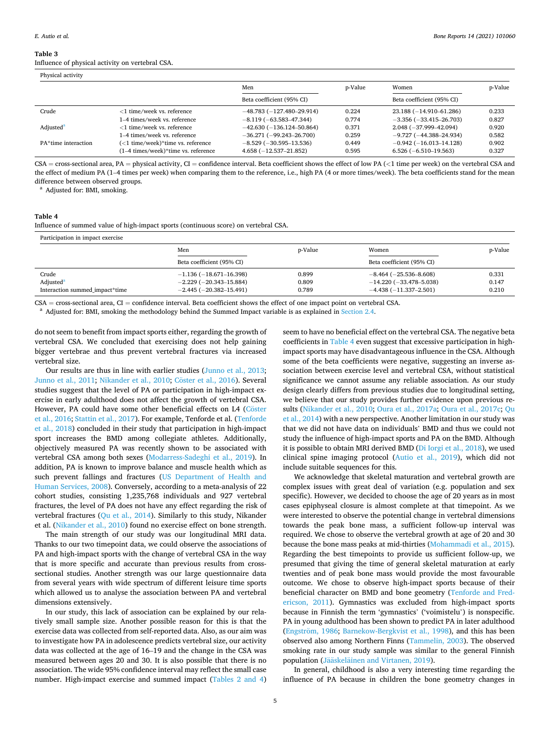**Table 3** 

Influence of physical activity on vertebral CSA.

| Physical activity     |                                     |                            |         |                            |         |  |
|-----------------------|-------------------------------------|----------------------------|---------|----------------------------|---------|--|
|                       |                                     | Men                        | p-Value | Women                      | p-Value |  |
|                       |                                     | Beta coefficient (95% CI)  |         | Beta coefficient (95% CI)  |         |  |
| Crude                 | $<$ 1 time/week vs. reference       | $-48.783(-127.480-29.914)$ | 0.224   | 23.188 (-14.910-61.286)    | 0.233   |  |
|                       | 1–4 times/week vs. reference        | $-8.119(-63.583-47.344)$   | 0.774   | $-3.356(-33.415-26.703)$   | 0.827   |  |
| Adjusted <sup>a</sup> | $<$ 1 time/week vs. reference       | $-42.630(-136.124-50.864)$ | 0.371   | $2.048(-37.999 - 42.094)$  | 0.920   |  |
|                       | 1–4 times/week vs. reference        | $-36.271(-99.243-26.700)$  | 0.259   | $-9.727(-44.388 - 24.934)$ | 0.582   |  |
| PA*time interaction   | (<1 time/week)*time vs. reference   | $-8.529(-30.595-13.536)$   | 0.449   | $-0.942(-16.013-14.128)$   | 0.902   |  |
|                       | (1–4 times/week)*time vs. reference | $4.658(-12.537-21.852)$    | 0.595   | $6.526(-6.510-19.563)$     | 0.327   |  |

CSA = cross-sectional area, PA = physical activity, CI = confidence interval. Beta coefficient shows the effect of low PA (*<*1 time per week) on the vertebral CSA and the effect of medium PA (1-4 times per week) when comparing them to the reference, i.e., high PA (4 or more times/week). The beta coefficients stand for the mean difference between observed groups.<br><sup>a</sup> Adjusted for: BMI, smoking.

## **Table 4**

Influence of summed value of high-impact sports (continuous score) on vertebral CSA.

| Participation in impact exercise |                                 |         |                           |         |  |  |
|----------------------------------|---------------------------------|---------|---------------------------|---------|--|--|
|                                  | Men                             | p-Value | Women                     | p-Value |  |  |
|                                  | Beta coefficient (95% CI)       |         | Beta coefficient (95% CI) |         |  |  |
| Crude                            | $-1.136(-18.671-16.398)$        | 0.899   | $-8.464(-25.536-8.608)$   | 0.331   |  |  |
| Adjusted <sup>a</sup>            | $-2.229(-20.343-15.884)$        | 0.809   | $-14.220(-33.478-5.038)$  | 0.147   |  |  |
| Interaction summed impact*time   | $-2.445$ ( $-20.382 - 15.491$ ) | 0.789   | $-4.438(-11.337-2.501)$   | 0.210   |  |  |

 $CSA = cross-sectional area, CI = confidence interval. Beta coefficient shows the effect of one impact point on vertebral CSA. A digitated for: BMI, smoking the methodology behind the Summed Impact variable is as explained in Section 2.4.$  $CSA = cross-sectional area, CI = confidence interval. Beta coefficient shows the effect of one impact point on vertebral CSA. A digitated for: BMI, smoking the methodology behind the Summed Impact variable is as explained in Section 2.4.$  $CSA = cross-sectional area, CI = confidence interval. Beta coefficient shows the effect of one impact point on vertebral CSA. A digitated for: BMI, smoking the methodology behind the Summed Impact variable is as explained in Section 2.4.$ 

do not seem to benefit from impact sports either, regarding the growth of vertebral CSA. We concluded that exercising does not help gaining bigger vertebrae and thus prevent vertebral fractures via increased vertebral size.

Our results are thus in line with earlier studies ([Junno et al., 2013](#page-5-0); [Junno et al., 2011](#page-5-0); [Nikander et al., 2010](#page-5-0); Cöster [et al., 2016\)](#page-5-0). Several studies suggest that the level of PA or participation in high-impact exercise in early adulthood does not affect the growth of vertebral CSA. However, PA could have some other beneficial effects on L4 (Cöster [et al., 2016](#page-5-0); [Stattin et al., 2017](#page-5-0)). For example, Tenforde et al. [\(Tenforde](#page-5-0)  [et al., 2018](#page-5-0)) concluded in their study that participation in high-impact sport increases the BMD among collegiate athletes. Additionally, objectively measured PA was recently shown to be associated with vertebral CSA among both sexes [\(Modarress-Sadeghi et al., 2019](#page-5-0)). In addition, PA is known to improve balance and muscle health which as such prevent fallings and fractures ([US Department of Health and](#page-5-0)  [Human Services, 2008\)](#page-5-0). Conversely, according to a meta-analysis of 22 cohort studies, consisting 1,235,768 individuals and 927 vertebral fractures, the level of PA does not have any effect regarding the risk of vertebral fractures [\(Qu et al., 2014\)](#page-5-0). Similarly to this study, Nikander et al. [\(Nikander et al., 2010](#page-5-0)) found no exercise effect on bone strength.

The main strength of our study was our longitudinal MRI data. Thanks to our two timepoint data, we could observe the associations of PA and high-impact sports with the change of vertebral CSA in the way that is more specific and accurate than previous results from crosssectional studies. Another strength was our large questionnaire data from several years with wide spectrum of different leisure time sports which allowed us to analyse the association between PA and vertebral dimensions extensively.

In our study, this lack of association can be explained by our relatively small sample size. Another possible reason for this is that the exercise data was collected from self-reported data. Also, as our aim was to investigate how PA in adolescence predicts vertebral size, our activity data was collected at the age of 16–19 and the change in the CSA was measured between ages 20 and 30. It is also possible that there is no association. The wide 95% confidence interval may reflect the small case number. High-impact exercise and summed impact [\(Tables 2 and 4\)](#page-3-0) seem to have no beneficial effect on the vertebral CSA. The negative beta coefficients in Table 4 even suggest that excessive participation in highimpact sports may have disadvantageous influence in the CSA. Although some of the beta coefficients were negative, suggesting an inverse association between exercise level and vertebral CSA, without statistical significance we cannot assume any reliable association. As our study design clearly differs from previous studies due to longitudinal setting, we believe that our study provides further evidence upon previous results [\(Nikander et al., 2010;](#page-5-0) [Oura et al., 2017a](#page-5-0); [Oura et al., 2017c](#page-5-0); [Qu](#page-5-0)  [et al., 2014\)](#page-5-0) with a new perspective. Another limitation in our study was that we did not have data on individuals' BMD and thus we could not study the influence of high-impact sports and PA on the BMD. Although it is possible to obtain MRI derived BMD ([Di Iorgi et al., 2018](#page-5-0)), we used clinical spine imaging protocol [\(Autio et al., 2019](#page-5-0)), which did not include suitable sequences for this.

We acknowledge that skeletal maturation and vertebral growth are complex issues with great deal of variation (e.g. population and sex specific). However, we decided to choose the age of 20 years as in most cases epiphyseal closure is almost complete at that timepoint. As we were interested to observe the potential change in vertebral dimensions towards the peak bone mass, a sufficient follow-up interval was required. We chose to observe the vertebral growth at age of 20 and 30 because the bone mass peaks at mid-thirties [\(Mohammadi et al., 2015](#page-5-0)). Regarding the best timepoints to provide us sufficient follow-up, we presumed that giving the time of general skeletal maturation at early twenties and of peak bone mass would provide the most favourable outcome. We chose to observe high-impact sports because of their beneficial character on BMD and bone geometry [\(Tenforde and Fred](#page-5-0)[ericson, 2011\)](#page-5-0). Gymnastics was excluded from high-impact sports because in Finnish the term 'gymnastics' ('voimistelu') is nonspecific. PA in young adulthood has been shown to predict PA in later adulthood (Engström, 1986; [Barnekow-Bergkvist et al., 1998](#page-5-0)), and this has been observed also among Northern Finns ([Tammelin, 2003](#page-5-0)). The observed smoking rate in our study sample was similar to the general Finnish population (Jääskeläinen and Virtanen, 2019).

In general, childhood is also a very interesting time regarding the influence of PA because in children the bone geometry changes in